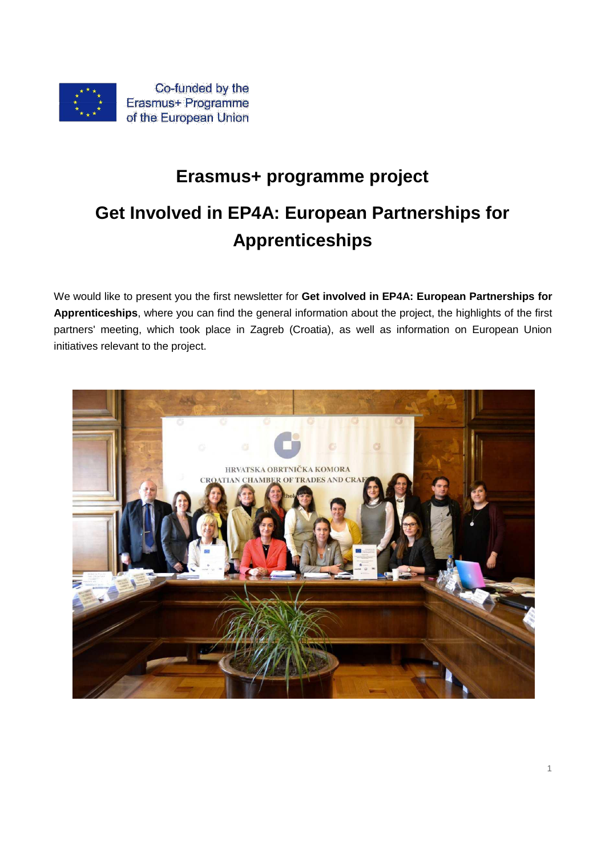

# **Erasmus+ programme project Get Involved in EP4A: European Partnerships for**

## **Apprenticeships**

We would like to present you the first newsletter for **Get involved in EP4A: European Partnerships for Apprenticeships**, where you can find the general information about the project, the highlights of the first partners' meeting, which took place in Zagreb (Croatia), as well as information on European Union initiatives relevant to the project.

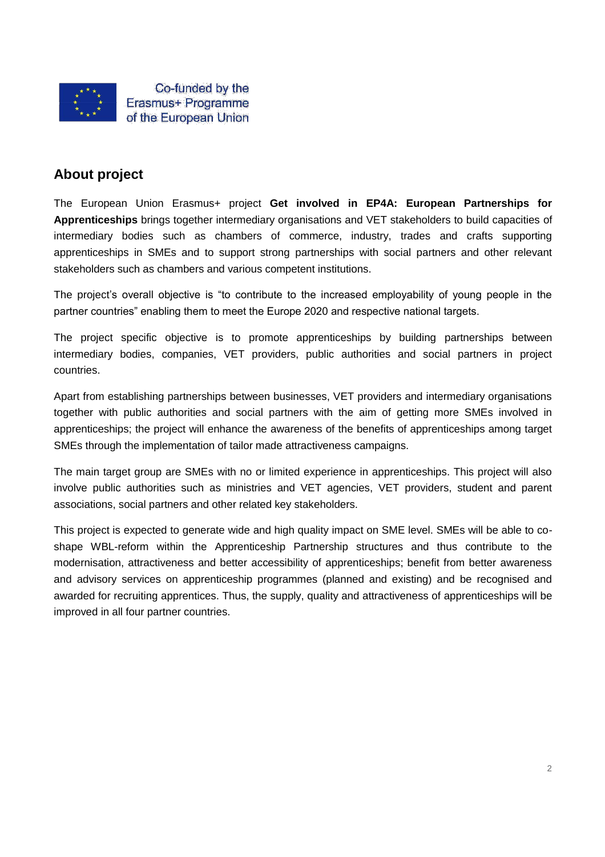

### **About project**

The European Union Erasmus+ project **Get involved in EP4A: European Partnerships for Apprenticeships** brings together intermediary organisations and VET stakeholders to build capacities of intermediary bodies such as chambers of commerce, industry, trades and crafts supporting apprenticeships in SMEs and to support strong partnerships with social partners and other relevant stakeholders such as chambers and various competent institutions.

The project's overall objective is "to contribute to the increased employability of young people in the partner countries" enabling them to meet the Europe 2020 and respective national targets.

The project specific objective is to promote apprenticeships by building partnerships between intermediary bodies, companies, VET providers, public authorities and social partners in project countries.

Apart from establishing partnerships between businesses, VET providers and intermediary organisations together with public authorities and social partners with the aim of getting more SMEs involved in apprenticeships; the project will enhance the awareness of the benefits of apprenticeships among target SMEs through the implementation of tailor made attractiveness campaigns.

The main target group are SMEs with no or limited experience in apprenticeships. This project will also involve public authorities such as ministries and VET agencies, VET providers, student and parent associations, social partners and other related key stakeholders.

This project is expected to generate wide and high quality impact on SME level. SMEs will be able to coshape WBL-reform within the Apprenticeship Partnership structures and thus contribute to the modernisation, attractiveness and better accessibility of apprenticeships; benefit from better awareness and advisory services on apprenticeship programmes (planned and existing) and be recognised and awarded for recruiting apprentices. Thus, the supply, quality and attractiveness of apprenticeships will be improved in all four partner countries.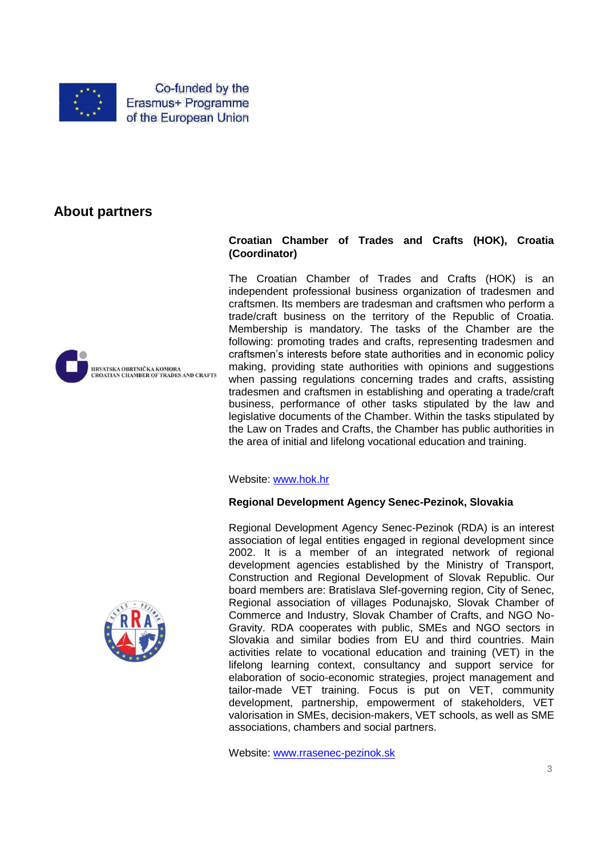

Co-funded by the Erasmus+ Programme of the European Union

## **About partners**





#### **Croatian Chamber of Trades and Crafts (HOK), Croatia (Coordinator)**

The Croatian Chamber of Trades and Crafts (HOK) is an independent professional business organization of tradesmen and craftsmen. Its members are tradesman and craftsmen who perform a trade/craft business on the territory of the Republic of Croatia. Membership is mandatory. The tasks of the Chamber are the following: promoting trades and crafts, representing tradesmen and craftsmen's interests before state authorities and in economic policy making, providing state authorities with opinions and suggestions when passing regulations concerning trades and crafts, assisting tradesmen and craftsmen in establishing and operating a trade/craft business, performance of other tasks stipulated by the law and legislative documents of the Chamber. Within the tasks stipulated by the Law on Trades and Crafts, the Chamber has public authorities in the area of initial and lifelong vocational education and training.

Website: www.hok.hr

#### **Regional Development Agency Senec-Pezinok, Slovakia**

Regional Development Agency Senec-Pezinok (RDA) is an interest association of legal entities engaged in regional development since 2002. It is a member of an integrated network of regional development agencies established by the Ministry of Transport, Construction and Regional Development of Slovak Republic. Our board members are: Bratislava Slef-governing region, City of Senec, Regional association of villages Podunajsko, Slovak Chamber of Commerce and Industry, Slovak Chamber of Crafts, and NGO No-Gravity. RDA cooperates with public, SMEs and NGO sectors in Slovakia and similar bodies from EU and third countries. Main activities relate to vocational education and training (VET) in the lifelong learning context, consultancy and support service for elaboration of socio-economic strategies, project management and tailor-made VET training. Focus is put on VET, community development, partnership, empowerment of stakeholders, VET valorisation in SMEs, decision-makers, VET schools, as well as SME associations, chambers and social partners.

Website: www.rrasenec-pezinok.sk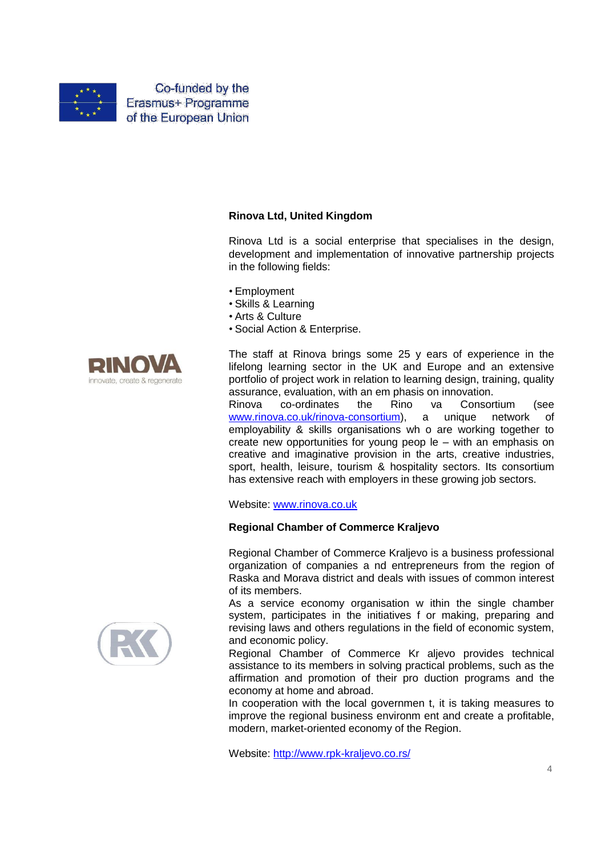

Co-funded by the Erasmus+ Programme of the European Union

#### **Rinova Ltd, United Kingdom**

Rinova Ltd is a social enterprise that specialises in the design, development and implementation of innovative partnership projects in the following fields:

- Employment
- Skills & Learning
- Arts & Culture
- Social Action & Enterprise.



The staff at Rinova brings some 25 y ears of experience in the lifelong learning sector in the UK and Europe and an extensive portfolio of project work in relation to learning design, training, quality assurance, evaluation, with an em phasis on innovation.

Rinova co-ordinates the Rino va Consortium (see www.rinova.co.uk/rinova-consortium), a unique network of employability & skills organisations wh o are working together to create new opportunities for young peop le – with an emphasis on creative and imaginative provision in the arts, creative industries, sport, health, leisure, tourism & hospitality sectors. Its consortium has extensive reach with employers in these growing job sectors.

Website: www.rinova.co.uk

#### **Regional Chamber of Commerce Kraljevo**

Regional Chamber of Commerce Kraljevo is a business professional organization of companies a nd entrepreneurs from the region of Raska and Morava district and deals with issues of common interest of its members.

As a service economy organisation w ithin the single chamber system, participates in the initiatives f or making, preparing and revising laws and others regulations in the field of economic system, and economic policy.

Regional Chamber of Commerce Kr aljevo provides technical assistance to its members in solving practical problems, such as the affirmation and promotion of their pro duction programs and the economy at home and abroad.

In cooperation with the local governmen t, it is taking measures to improve the regional business environm ent and create a profitable, modern, market-oriented economy of the Region.

Website: http://www.rpk-kraljevo.co.rs/

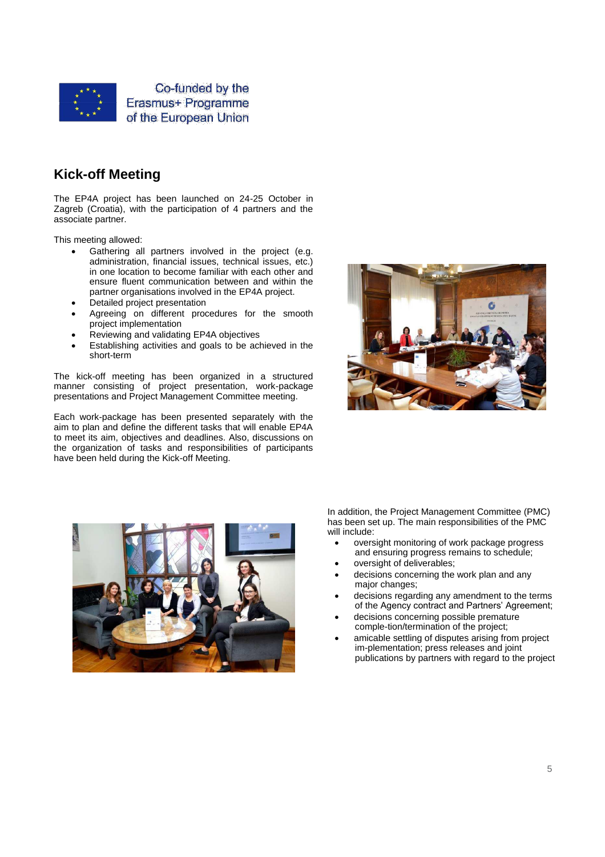

## **Kick-off Meeting**

The EP4A project has been launched on 24-25 October in Zagreb (Croatia), with the participation of 4 partners and the associate partner.

This meeting allowed:

- Gathering all partners involved in the project (e.g. administration, financial issues, technical issues, etc.) in one location to become familiar with each other and ensure fluent communication between and within the partner organisations involved in the EP4A project.
- Detailed project presentation
- Agreeing on different procedures for the smooth project implementation
- Reviewing and validating EP4A objectives
- Establishing activities and goals to be achieved in the short-term

The kick-off meeting has been organized in a structured manner consisting of project presentation, work-package presentations and Project Management Committee meeting.

Each work-package has been presented separately with the aim to plan and define the different tasks that will enable EP4A to meet its aim, objectives and deadlines. Also, discussions on the organization of tasks and responsibilities of participants have been held during the Kick-off Meeting.





In addition, the Project Management Committee (PMC) has been set up. The main responsibilities of the PMC will include:

- oversight monitoring of work package progress and ensuring progress remains to schedule;
- oversight of deliverables;
- decisions concerning the work plan and any major changes;
- decisions regarding any amendment to the terms of the Agency contract and Partners' Agreement;
- decisions concerning possible premature comple-tion/termination of the project;
- amicable settling of disputes arising from project im-plementation; press releases and joint publications by partners with regard to the project